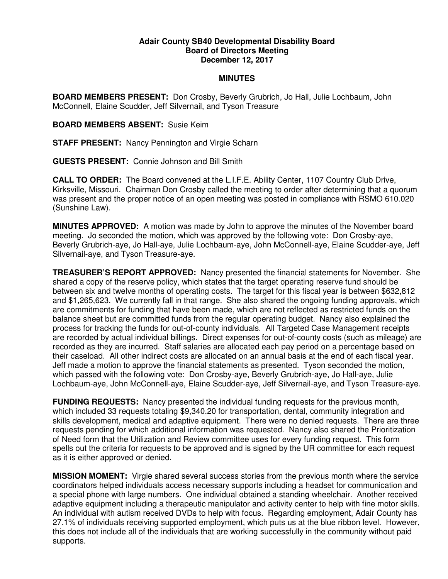## **Adair County SB40 Developmental Disability Board Board of Directors Meeting December 12, 2017**

## **MINUTES**

**BOARD MEMBERS PRESENT:** Don Crosby, Beverly Grubrich, Jo Hall, Julie Lochbaum, John McConnell, Elaine Scudder, Jeff Silvernail, and Tyson Treasure

**BOARD MEMBERS ABSENT:** Susie Keim

**STAFF PRESENT:** Nancy Pennington and Virgie Scharn

**GUESTS PRESENT:** Connie Johnson and Bill Smith

**CALL TO ORDER:** The Board convened at the L.I.F.E. Ability Center, 1107 Country Club Drive, Kirksville, Missouri. Chairman Don Crosby called the meeting to order after determining that a quorum was present and the proper notice of an open meeting was posted in compliance with RSMO 610.020 (Sunshine Law).

**MINUTES APPROVED:** A motion was made by John to approve the minutes of the November board meeting. Jo seconded the motion, which was approved by the following vote: Don Crosby-aye, Beverly Grubrich-aye, Jo Hall-aye, Julie Lochbaum-aye, John McConnell-aye, Elaine Scudder-aye, Jeff Silvernail-aye, and Tyson Treasure-aye.

**TREASURER'S REPORT APPROVED:** Nancy presented the financial statements for November. She shared a copy of the reserve policy, which states that the target operating reserve fund should be between six and twelve months of operating costs. The target for this fiscal year is between \$632,812 and \$1,265,623. We currently fall in that range. She also shared the ongoing funding approvals, which are commitments for funding that have been made, which are not reflected as restricted funds on the balance sheet but are committed funds from the regular operating budget. Nancy also explained the process for tracking the funds for out-of-county individuals. All Targeted Case Management receipts are recorded by actual individual billings. Direct expenses for out-of-county costs (such as mileage) are recorded as they are incurred. Staff salaries are allocated each pay period on a percentage based on their caseload. All other indirect costs are allocated on an annual basis at the end of each fiscal year. Jeff made a motion to approve the financial statements as presented. Tyson seconded the motion, which passed with the following vote: Don Crosby-aye, Beverly Grubrich-aye, Jo Hall-aye, Julie Lochbaum-aye, John McConnell-aye, Elaine Scudder-aye, Jeff Silvernail-aye, and Tyson Treasure-aye.

**FUNDING REQUESTS:** Nancy presented the individual funding requests for the previous month, which included 33 requests totaling \$9,340.20 for transportation, dental, community integration and skills development, medical and adaptive equipment. There were no denied requests. There are three requests pending for which additional information was requested. Nancy also shared the Prioritization of Need form that the Utilization and Review committee uses for every funding request. This form spells out the criteria for requests to be approved and is signed by the UR committee for each request as it is either approved or denied.

**MISSION MOMENT:** Virgie shared several success stories from the previous month where the service coordinators helped individuals access necessary supports including a headset for communication and a special phone with large numbers. One individual obtained a standing wheelchair. Another received adaptive equipment including a therapeutic manipulator and activity center to help with fine motor skills. An individual with autism received DVDs to help with focus. Regarding employment, Adair County has 27.1% of individuals receiving supported employment, which puts us at the blue ribbon level. However, this does not include all of the individuals that are working successfully in the community without paid supports.